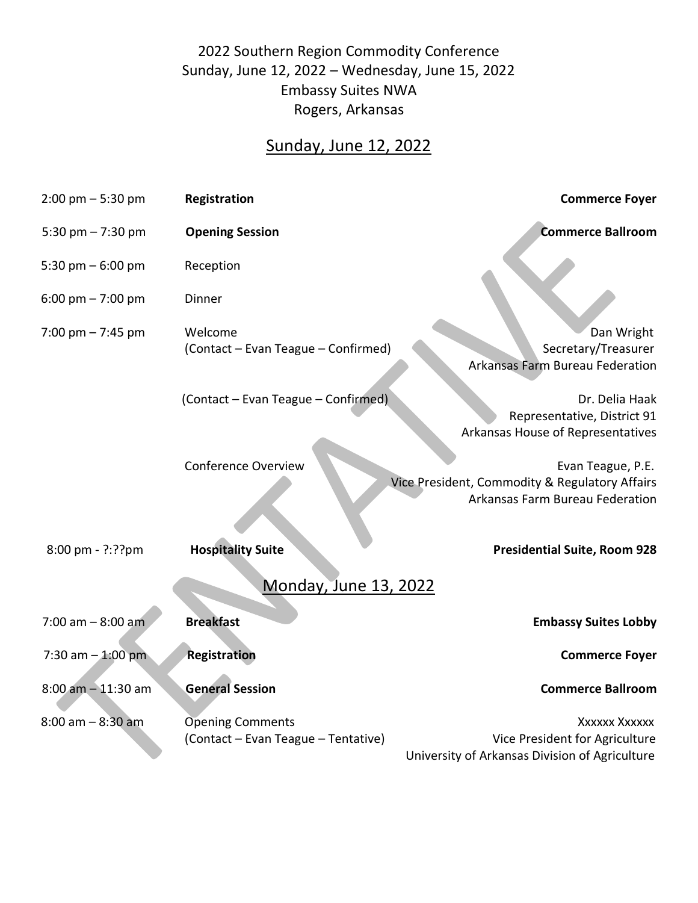## 2022 Southern Region Commodity Conference Sunday, June 12, 2022 – Wednesday, June 15, 2022 Embassy Suites NWA Rogers, Arkansas

## Sunday, June 12, 2022

| $2:00 \text{ pm} - 5:30 \text{ pm}$ | Registration                                                   | <b>Commerce Foyer</b>                                                                                  |  |  |  |
|-------------------------------------|----------------------------------------------------------------|--------------------------------------------------------------------------------------------------------|--|--|--|
| 5:30 pm $- 7:30$ pm                 | <b>Opening Session</b>                                         | <b>Commerce Ballroom</b>                                                                               |  |  |  |
| 5:30 pm $-6:00$ pm                  | Reception                                                      |                                                                                                        |  |  |  |
| 6:00 pm $- 7:00$ pm                 | Dinner                                                         |                                                                                                        |  |  |  |
| 7:00 pm $-$ 7:45 pm                 | Welcome<br>(Contact - Evan Teague - Confirmed)                 | Dan Wright<br>Secretary/Treasurer<br><b>Arkansas Farm Bureau Federation</b>                            |  |  |  |
|                                     | (Contact - Evan Teague - Confirmed)                            | Dr. Delia Haak<br>Representative, District 91<br>Arkansas House of Representatives                     |  |  |  |
|                                     | <b>Conference Overview</b>                                     | Evan Teague, P.E.<br>Vice President, Commodity & Regulatory Affairs<br>Arkansas Farm Bureau Federation |  |  |  |
| $8:00 \text{ pm} - ?$ :?? pm        | <b>Hospitality Suite</b>                                       | <b>Presidential Suite, Room 928</b>                                                                    |  |  |  |
| <b>Monday, June 13, 2022</b>        |                                                                |                                                                                                        |  |  |  |
| $7:00$ am $- 8:00$ am               | <b>Breakfast</b>                                               | <b>Embassy Suites Lobby</b>                                                                            |  |  |  |
| 7:30 am $-$ 1:00 pm                 | <b>Registration</b>                                            | <b>Commerce Foyer</b>                                                                                  |  |  |  |
| $8:00$ am $-11:30$ am               | <b>General Session</b>                                         | <b>Commerce Ballroom</b>                                                                               |  |  |  |
| $8:00$ am $-8:30$ am                | <b>Opening Comments</b><br>(Contact - Evan Teague - Tentative) | Xxxxxx Xxxxxx<br>Vice President for Agriculture<br>University of Arkansas Division of Agriculture      |  |  |  |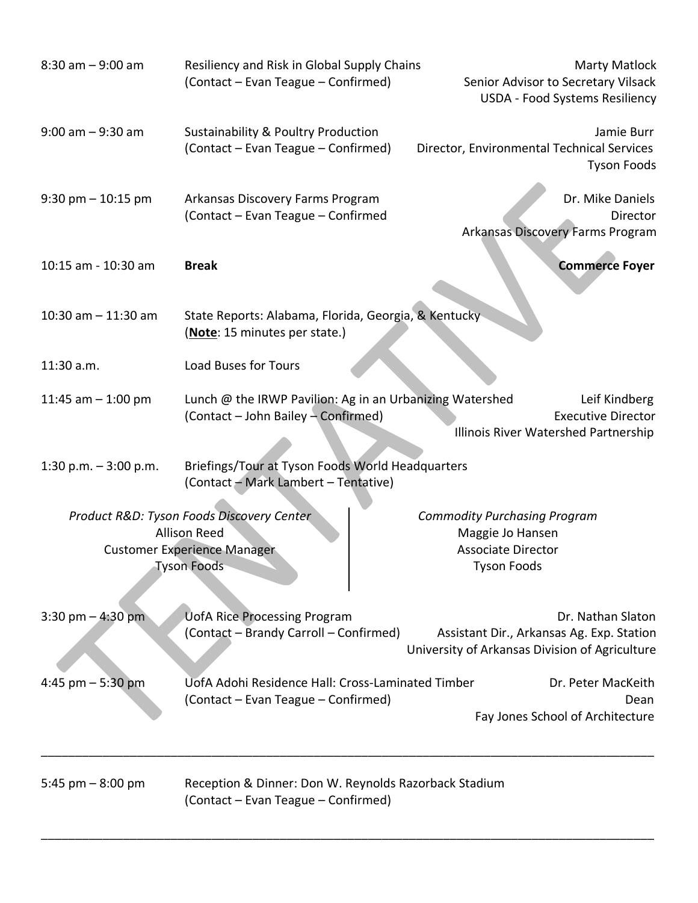| $8:30$ am $-9:00$ am   | Resiliency and Risk in Global Supply Chains<br>(Contact - Evan Teague - Confirmed)                                           | <b>Marty Matlock</b><br>Senior Advisor to Secretary Vilsack<br>USDA - Food Systems Resiliency                    |          |
|------------------------|------------------------------------------------------------------------------------------------------------------------------|------------------------------------------------------------------------------------------------------------------|----------|
| $9:00$ am $-9:30$ am   | <b>Sustainability &amp; Poultry Production</b><br>(Contact – Evan Teague – Confirmed)                                        | Jamie Burr<br>Director, Environmental Technical Services<br><b>Tyson Foods</b>                                   |          |
| $9:30$ pm $-10:15$ pm  | Arkansas Discovery Farms Program<br>(Contact - Evan Teague - Confirmed                                                       | Dr. Mike Daniels<br>Arkansas Discovery Farms Program                                                             | Director |
| 10:15 am - 10:30 am    | <b>Break</b>                                                                                                                 | <b>Commerce Foyer</b>                                                                                            |          |
| 10:30 am $-$ 11:30 am  | State Reports: Alabama, Florida, Georgia, & Kentucky<br>(Note: 15 minutes per state.)                                        |                                                                                                                  |          |
| 11:30 a.m.             | <b>Load Buses for Tours</b>                                                                                                  |                                                                                                                  |          |
| 11:45 am $-$ 1:00 pm   | Lunch @ the IRWP Pavilion: Ag in an Urbanizing Watershed<br>(Contact - John Bailey - Confirmed)                              | Leif Kindberg<br><b>Executive Director</b><br>Illinois River Watershed Partnership                               |          |
| 1:30 p.m. $-3:00$ p.m. | Briefings/Tour at Tyson Foods World Headquarters<br>(Contact - Mark Lambert - Tentative)                                     |                                                                                                                  |          |
|                        | Product R&D: Tyson Foods Discovery Center<br><b>Allison Reed</b><br><b>Customer Experience Manager</b><br><b>Tyson Foods</b> | <b>Commodity Purchasing Program</b><br>Maggie Jo Hansen<br><b>Associate Director</b><br><b>Tyson Foods</b>       |          |
| 3:30 pm $-$ 4:30 pm    | <b>UofA Rice Processing Program</b><br>(Contact - Brandy Carroll - Confirmed)                                                | Dr. Nathan Slaton<br>Assistant Dir., Arkansas Ag. Exp. Station<br>University of Arkansas Division of Agriculture |          |
| 4:45 pm $-5:30$ pm     | UofA Adohi Residence Hall: Cross-Laminated Timber<br>(Contact – Evan Teague – Confirmed)                                     | Dr. Peter MacKeith<br>Fay Jones School of Architecture                                                           | Dean     |
| 5:45 pm $-8:00$ pm     | Reception & Dinner: Don W. Reynolds Razorback Stadium<br>(Contact - Evan Teague - Confirmed)                                 |                                                                                                                  |          |

\_\_\_\_\_\_\_\_\_\_\_\_\_\_\_\_\_\_\_\_\_\_\_\_\_\_\_\_\_\_\_\_\_\_\_\_\_\_\_\_\_\_\_\_\_\_\_\_\_\_\_\_\_\_\_\_\_\_\_\_\_\_\_\_\_\_\_\_\_\_\_\_\_\_\_\_\_\_\_\_\_\_\_\_\_\_\_\_\_\_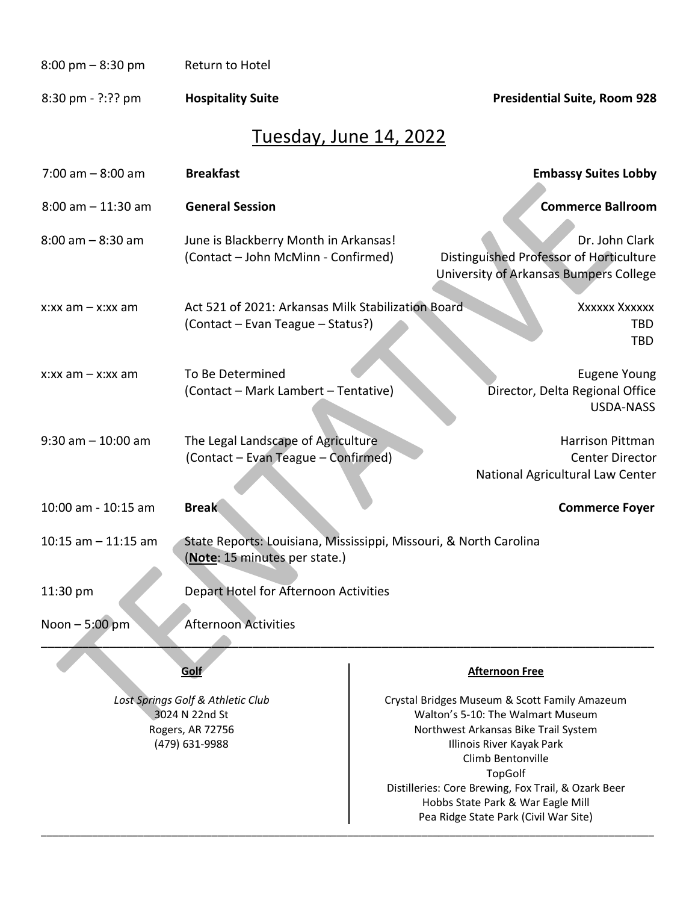## 8:00 pm - 8:30 pm Return to Hotel

8:30 pm - ?:?? pm **Hospitality Suite Presidential Suite, Room 928**

(479) 631-9988

## Tuesday, June 14, 2022

| $7:00$ am $-8:00$ am                                                    | <b>Breakfast</b>                                                                                   |  | <b>Embassy Suites Lobby</b>                                                                                                |
|-------------------------------------------------------------------------|----------------------------------------------------------------------------------------------------|--|----------------------------------------------------------------------------------------------------------------------------|
| $8:00$ am $-11:30$ am                                                   | <b>General Session</b>                                                                             |  | <b>Commerce Ballroom</b>                                                                                                   |
| $8:00$ am $-8:30$ am                                                    | June is Blackberry Month in Arkansas!<br>(Contact - John McMinn - Confirmed)                       |  | Dr. John Clark<br>Distinguished Professor of Horticulture<br>University of Arkansas Bumpers College                        |
| x:xx am $-$ x:xx am                                                     | Act 521 of 2021: Arkansas Milk Stabilization Board<br>(Contact - Evan Teague - Status?)            |  | Xxxxxx Xxxxxx<br><b>TBD</b><br><b>TBD</b>                                                                                  |
| $x:xx$ am $-x:xx$ am                                                    | To Be Determined<br>(Contact - Mark Lambert - Tentative)                                           |  | <b>Eugene Young</b><br>Director, Delta Regional Office<br><b>USDA-NASS</b>                                                 |
| $9:30$ am $-10:00$ am                                                   | The Legal Landscape of Agriculture<br>(Contact - Evan Teague - Confirmed)                          |  | Harrison Pittman<br><b>Center Director</b><br>National Agricultural Law Center                                             |
| 10:00 am - 10:15 am                                                     | <b>Break</b>                                                                                       |  | <b>Commerce Foyer</b>                                                                                                      |
| $10:15$ am $-11:15$ am                                                  | State Reports: Louisiana, Mississippi, Missouri, & North Carolina<br>(Note: 15 minutes per state.) |  |                                                                                                                            |
| 11:30 pm                                                                | Depart Hotel for Afternoon Activities                                                              |  |                                                                                                                            |
| Noon - 5:00 pm                                                          | <b>Afternoon Activities</b>                                                                        |  |                                                                                                                            |
|                                                                         | Golf                                                                                               |  | <b>Afternoon Free</b>                                                                                                      |
| Lost Springs Golf & Athletic Club<br>3024 N 22nd St<br>Rogers, AR 72756 |                                                                                                    |  | Crystal Bridges Museum & Scott Family Amazeum<br>Walton's 5-10: The Walmart Museum<br>Northwest Arkansas Bike Trail System |

\_\_\_\_\_\_\_\_\_\_\_\_\_\_\_\_\_\_\_\_\_\_\_\_\_\_\_\_\_\_\_\_\_\_\_\_\_\_\_\_\_\_\_\_\_\_\_\_\_\_\_\_\_\_\_\_\_\_\_\_\_\_\_\_\_\_\_\_\_\_\_\_\_\_\_\_\_\_\_\_\_\_\_\_\_\_\_\_\_\_\_\_\_\_\_\_\_\_\_\_\_\_\_\_\_\_\_\_

Illinois River Kayak Park Climb Bentonville TopGolf Distilleries: Core Brewing, Fox Trail, & Ozark Beer Hobbs State Park & War Eagle Mill Pea Ridge State Park (Civil War Site)